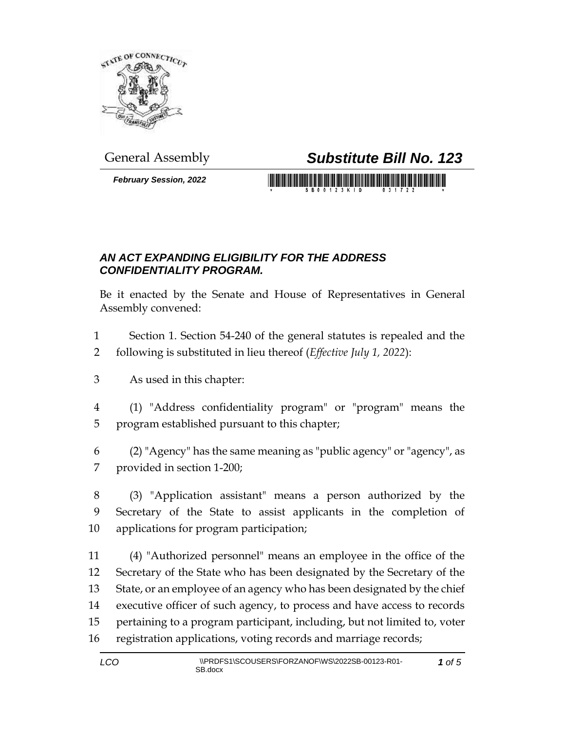

## General Assembly *Substitute Bill No. 123*

*February Session, 2022*

## 

## *AN ACT EXPANDING ELIGIBILITY FOR THE ADDRESS CONFIDENTIALITY PROGRAM.*

Be it enacted by the Senate and House of Representatives in General Assembly convened:

- Section 1. Section 54-240 of the general statutes is repealed and the following is substituted in lieu thereof (*Effective July 1, 2022*):
- As used in this chapter:
- (1) "Address confidentiality program" or "program" means the program established pursuant to this chapter;
- 6 (2) "Agency" has the same meaning as "public agency" or "agency", as provided in section 1-200;
- (3) "Application assistant" means a person authorized by the Secretary of the State to assist applicants in the completion of applications for program participation;
- (4) "Authorized personnel" means an employee in the office of the Secretary of the State who has been designated by the Secretary of the State, or an employee of an agency who has been designated by the chief executive officer of such agency, to process and have access to records pertaining to a program participant, including, but not limited to, voter registration applications, voting records and marriage records;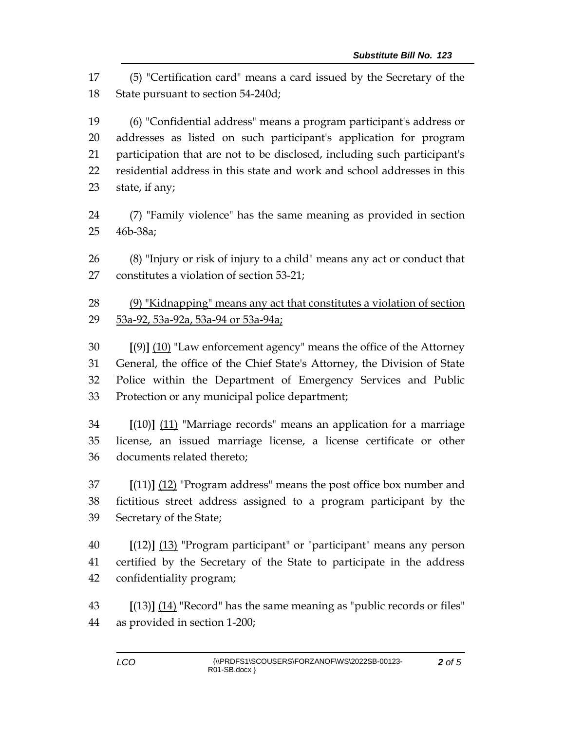(5) "Certification card" means a card issued by the Secretary of the State pursuant to section 54-240d;

 (6) "Confidential address" means a program participant's address or addresses as listed on such participant's application for program participation that are not to be disclosed, including such participant's residential address in this state and work and school addresses in this state, if any;

- (7) "Family violence" has the same meaning as provided in section 46b-38a;
- (8) "Injury or risk of injury to a child" means any act or conduct that constitutes a violation of section 53-21;

## (9) "Kidnapping" means any act that constitutes a violation of section 53a-92, 53a-92a, 53a-94 or 53a-94a;

 **[**(9)**]** (10) "Law enforcement agency" means the office of the Attorney General, the office of the Chief State's Attorney, the Division of State Police within the Department of Emergency Services and Public Protection or any municipal police department;

 **[**(10)**]** (11) "Marriage records" means an application for a marriage license, an issued marriage license, a license certificate or other documents related thereto;

 **[**(11)**]** (12) "Program address" means the post office box number and fictitious street address assigned to a program participant by the Secretary of the State;

 **[**(12)**]** (13) "Program participant" or "participant" means any person certified by the Secretary of the State to participate in the address confidentiality program;

 **[**(13)**]** (14) "Record" has the same meaning as "public records or files" as provided in section 1-200;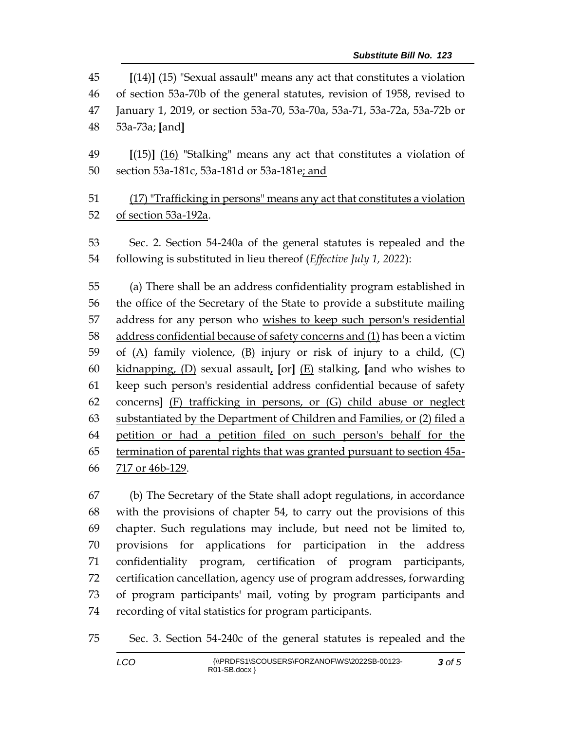**[**(14)**]** (15) "Sexual assault" means any act that constitutes a violation of section 53a-70b of the general statutes, revision of 1958, revised to January 1, 2019, or section 53a-70, 53a-70a, 53a-71, 53a-72a, 53a-72b or 53a-73a; **[**and**] [**(15)**]** (16) "Stalking" means any act that constitutes a violation of section 53a-181c, 53a-181d or 53a-181e; and (17) "Trafficking in persons" means any act that constitutes a violation of section 53a-192a. Sec. 2. Section 54-240a of the general statutes is repealed and the following is substituted in lieu thereof (*Effective July 1, 2022*): (a) There shall be an address confidentiality program established in the office of the Secretary of the State to provide a substitute mailing 57 address for any person who wishes to keep such person's residential address confidential because of safety concerns and (1) has been a victim 59 of  $(A)$  family violence,  $(B)$  injury or risk of injury to a child,  $(C)$  kidnapping, (D) sexual assault, **[**or**]** (E) stalking, **[**and who wishes to keep such person's residential address confidential because of safety concerns**]** (F) trafficking in persons, or (G) child abuse or neglect substantiated by the Department of Children and Families, or (2) filed a petition or had a petition filed on such person's behalf for the termination of parental rights that was granted pursuant to section 45a-717 or 46b-129.

 (b) The Secretary of the State shall adopt regulations, in accordance with the provisions of chapter 54, to carry out the provisions of this chapter. Such regulations may include, but need not be limited to, provisions for applications for participation in the address confidentiality program, certification of program participants, certification cancellation, agency use of program addresses, forwarding of program participants' mail, voting by program participants and recording of vital statistics for program participants.

Sec. 3. Section 54-240c of the general statutes is repealed and the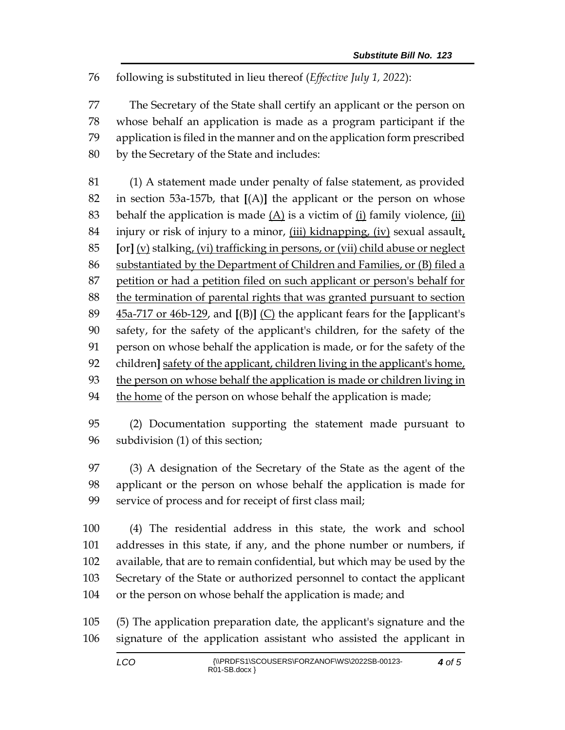following is substituted in lieu thereof (*Effective July 1, 2022*):

 The Secretary of the State shall certify an applicant or the person on whose behalf an application is made as a program participant if the application is filed in the manner and on the application form prescribed by the Secretary of the State and includes:

 (1) A statement made under penalty of false statement, as provided in section 53a-157b, that **[**(A)**]** the applicant or the person on whose 83 behalf the application is made  $(A)$  is a victim of  $(i)$  family violence,  $(ii)$ 84 injury or risk of injury to a minor,  $(iii)$  kidnapping,  $(iv)$  sexual assault, **[**or**]** (v) stalking, (vi) trafficking in persons, or (vii) child abuse or neglect substantiated by the Department of Children and Families, or (B) filed a petition or had a petition filed on such applicant or person's behalf for 88 the termination of parental rights that was granted pursuant to section 45a-717 or 46b-129, and **[**(B)**]** (C) the applicant fears for the **[**applicant's safety, for the safety of the applicant's children, for the safety of the person on whose behalf the application is made, or for the safety of the children**]** safety of the applicant, children living in the applicant's home, the person on whose behalf the application is made or children living in the home of the person on whose behalf the application is made;

 (2) Documentation supporting the statement made pursuant to subdivision (1) of this section;

 (3) A designation of the Secretary of the State as the agent of the applicant or the person on whose behalf the application is made for service of process and for receipt of first class mail;

 (4) The residential address in this state, the work and school addresses in this state, if any, and the phone number or numbers, if available, that are to remain confidential, but which may be used by the Secretary of the State or authorized personnel to contact the applicant or the person on whose behalf the application is made; and

 (5) The application preparation date, the applicant's signature and the signature of the application assistant who assisted the applicant in